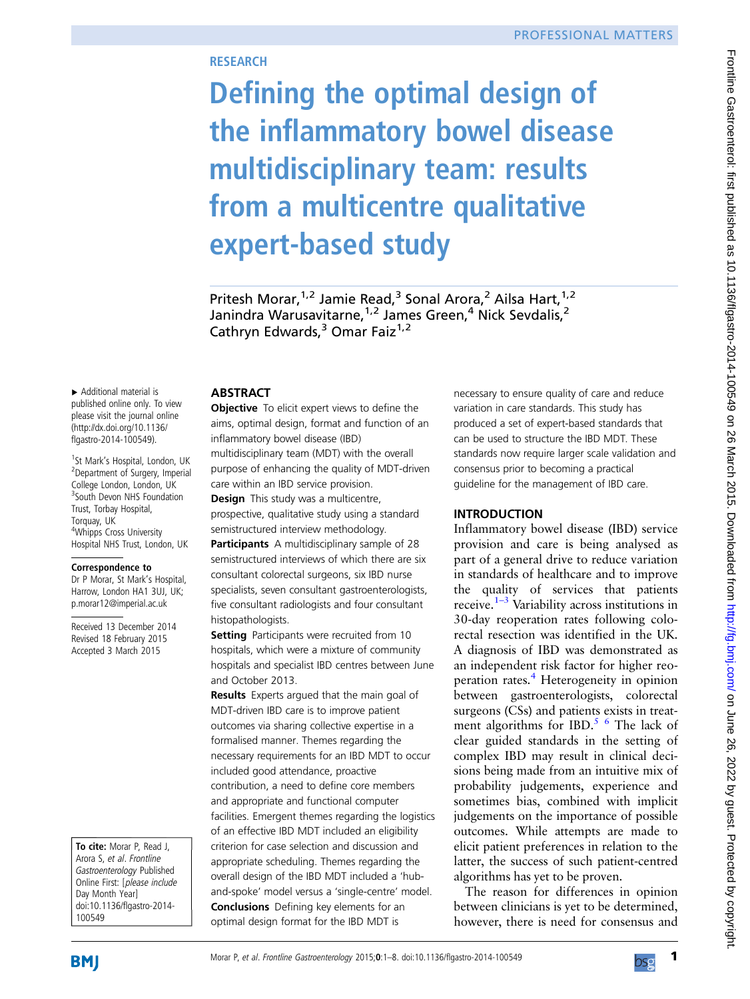## **RESEARCH**

Defining the optimal design of the inflammatory bowel disease multidisciplinary team: results from a multicentre qualitative expert-based study

Pritesh Morar,<sup>1,2</sup> Jamie Read,<sup>3</sup> Sonal Arora,<sup>2</sup> Ailsa Hart,<sup>1,2</sup> Janindra Warusavitarne, <sup>1,2</sup> James Green, <sup>4</sup> Nick Sevdalis, <sup>2</sup> Cathryn Edwards,<sup>3</sup> Omar Faiz<sup>1,2</sup>

▸ Additional material is published online only. To view please visit the journal online ([http://dx.doi.org/10.1136/](http://dx.doi.org/10.1136/flgastro-2014-100549) [flgastro-2014-100549\)](http://dx.doi.org/10.1136/flgastro-2014-100549).

<sup>1</sup>St Mark's Hospital, London, UK<br><sup>2</sup>Denartment of Surgery, Imperia Department of Surgery, Imperial College London, London, UK 3 South Devon NHS Foundation Trust, Torbay Hospital, Torquay, UK 4 Whipps Cross University Hospital NHS Trust, London, UK

#### Correspondence to

Dr P Morar, St Mark's Hospital, Harrow, London HA1 3UJ, UK; p.morar12@imperial.ac.uk

Received 13 December 2014 Revised 18 February 2015 Accepted 3 March 2015

To cite: Morar P, Read J, Arora S, et al. Frontline Gastroenterology Published Online First: [please include Day Month Year] doi:10.1136/flgastro-2014- 100549

### ABSTRACT

**Objective** To elicit expert views to define the aims, optimal design, format and function of an inflammatory bowel disease (IBD) multidisciplinary team (MDT) with the overall purpose of enhancing the quality of MDT-driven care within an IBD service provision. **Design** This study was a multicentre, prospective, qualitative study using a standard semistructured interview methodology. Participants A multidisciplinary sample of 28 semistructured interviews of which there are six consultant colorectal surgeons, six IBD nurse specialists, seven consultant gastroenterologists, five consultant radiologists and four consultant histopathologists.

**Setting** Participants were recruited from 10 hospitals, which were a mixture of community hospitals and specialist IBD centres between June and October 2013.

Results Experts argued that the main goal of MDT-driven IBD care is to improve patient outcomes via sharing collective expertise in a formalised manner. Themes regarding the necessary requirements for an IBD MDT to occur included good attendance, proactive contribution, a need to define core members and appropriate and functional computer facilities. Emergent themes regarding the logistics of an effective IBD MDT included an eligibility criterion for case selection and discussion and appropriate scheduling. Themes regarding the overall design of the IBD MDT included a 'huband-spoke' model versus a 'single-centre' model. Conclusions Defining key elements for an optimal design format for the IBD MDT is

necessary to ensure quality of care and reduce variation in care standards. This study has produced a set of expert-based standards that can be used to structure the IBD MDT. These standards now require larger scale validation and consensus prior to becoming a practical guideline for the management of IBD care.

#### INTRODUCTION

Inflammatory bowel disease (IBD) service provision and care is being analysed as part of a general drive to reduce variation in standards of healthcare and to improve the q[ualit](#page-6-0)y of services that patients receive.<sup>1–3</sup> Variability across institutions in 30-day reoperation rates following colorectal resection was identified in the UK. A diagnosis of IBD was demonstrated as an independent risk factor for higher reoperation rates.[4](#page-6-0) Heterogeneity in opinion between gastroenterologists, colorectal surgeons (CSs) and patients exists in treat-ment algorithms for IBD.<sup>[5 6](#page-6-0)</sup> The lack of clear guided standards in the setting of complex IBD may result in clinical decisions being made from an intuitive mix of probability judgements, experience and sometimes bias, combined with implicit judgements on the importance of possible outcomes. While attempts are made to elicit patient preferences in relation to the latter, the success of such patient-centred algorithms has yet to be proven.

The reason for differences in opinion between clinicians is yet to be determined, however, there is need for consensus and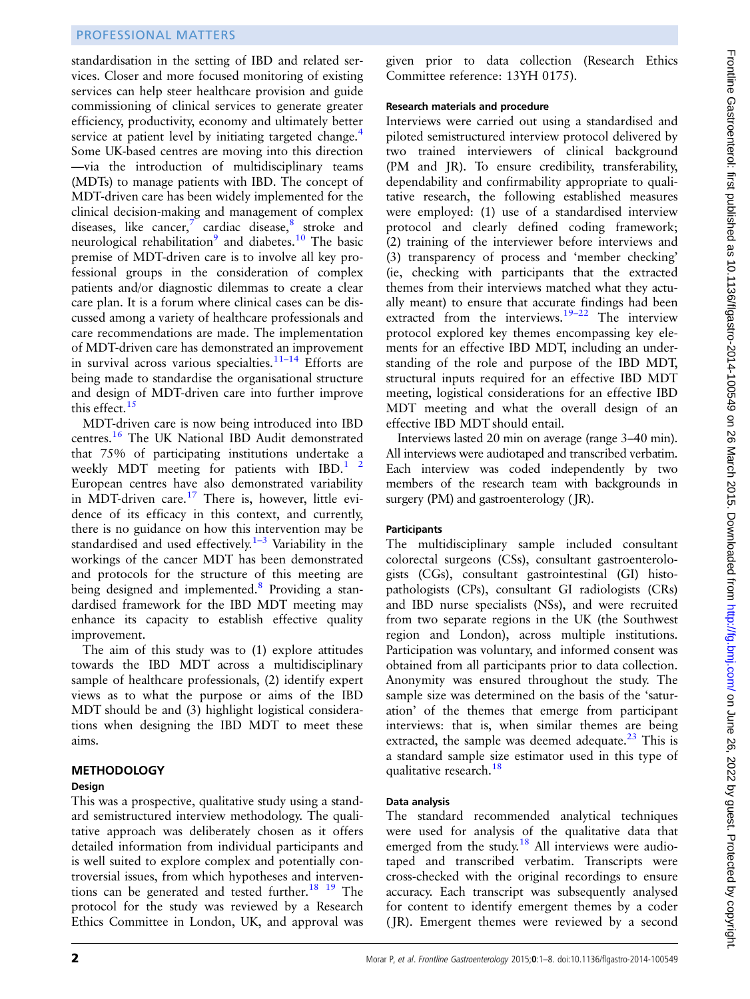## PROFESSIONAL MATTERS

standardisation in the setting of IBD and related services. Closer and more focused monitoring of existing services can help steer healthcare provision and guide commissioning of clinical services to generate greater efficiency, productivity, economy and ultimately better service at patient level by initiating targeted change.<sup>[4](#page-6-0)</sup> Some UK-based centres are moving into this direction —via the introduction of multidisciplinary teams (MDTs) to manage patients with IBD. The concept of MDT-driven care has been widely implemented for the clinical decision-making and management of complex diseases, like cancer, $\frac{7}{7}$  $\frac{7}{7}$  $\frac{7}{7}$  cardiac disease, $\frac{8}{7}$  $\frac{8}{7}$  $\frac{8}{7}$  stroke and neurological rehabilitation $9$  and diabetes.<sup>[10](#page-6-0)</sup> The basic premise of MDT-driven care is to involve all key professional groups in the consideration of complex patients and/or diagnostic dilemmas to create a clear care plan. It is a forum where clinical cases can be discussed among a variety of healthcare professionals and care recommendations are made. The implementation of MDT-driven care has demonstrated an improvement in survival across various specialties.<sup>[11](#page-6-0)–14</sup> Efforts are being made to standardise the organisational structure and design of MDT-driven care into further improve this effect.  $15$ 

MDT-driven care is now being introduced into IBD centres.[16](#page-6-0) The UK National IBD Audit demonstrated that 75% of participating institutions undertake a weekly MDT meeting for patients with  $IBD<sup>1</sup>$ European centres have also demonstrated variability in MDT-driven care.<sup>17</sup> There is, however, little evidence of its efficacy in this context, and currently, there is no guidance on how this intervention may be standardised and used effectively.<sup>[1](#page-6-0)–3</sup> Variability in the workings of the cancer MDT has been demonstrated and protocols for the structure of this meeting are being designed and implemented.<sup>[8](#page-6-0)</sup> Providing a standardised framework for the IBD MDT meeting may enhance its capacity to establish effective quality improvement.

The aim of this study was to (1) explore attitudes towards the IBD MDT across a multidisciplinary sample of healthcare professionals, (2) identify expert views as to what the purpose or aims of the IBD MDT should be and (3) highlight logistical considerations when designing the IBD MDT to meet these aims.

### METHODOLOGY

#### Design

This was a prospective, qualitative study using a standard semistructured interview methodology. The qualitative approach was deliberately chosen as it offers detailed information from individual participants and is well suited to explore complex and potentially controversial issues, from which hypotheses and interventions can be generated and tested further.<sup>18 19</sup> The protocol for the study was reviewed by a Research Ethics Committee in London, UK, and approval was

given prior to data collection (Research Ethics Committee reference: 13YH 0175).

#### Research materials and procedure

Interviews were carried out using a standardised and piloted semistructured interview protocol delivered by two trained interviewers of clinical background (PM and JR). To ensure credibility, transferability, dependability and confirmability appropriate to qualitative research, the following established measures were employed: (1) use of a standardised interview protocol and clearly defined coding framework; (2) training of the interviewer before interviews and (3) transparency of process and 'member checking' (ie, checking with participants that the extracted themes from their interviews matched what they actually meant) to ensure that accurate findings had been extracted from the interviews.<sup>[19](#page-7-0)–22</sup> The interview protocol explored key themes encompassing key elements for an effective IBD MDT, including an understanding of the role and purpose of the IBD MDT, structural inputs required for an effective IBD MDT meeting, logistical considerations for an effective IBD MDT meeting and what the overall design of an effective IBD MDT should entail.

Interviews lasted 20 min on average (range 3–40 min). All interviews were audiotaped and transcribed verbatim. Each interview was coded independently by two members of the research team with backgrounds in surgery (PM) and gastroenterology ( JR).

#### **Participants**

The multidisciplinary sample included consultant colorectal surgeons (CSs), consultant gastroenterologists (CGs), consultant gastrointestinal (GI) histopathologists (CPs), consultant GI radiologists (CRs) and IBD nurse specialists (NSs), and were recruited from two separate regions in the UK (the Southwest region and London), across multiple institutions. Participation was voluntary, and informed consent was obtained from all participants prior to data collection. Anonymity was ensured throughout the study. The sample size was determined on the basis of the 'saturation' of the themes that emerge from participant interviews: that is, when similar themes are being extracted, the sample was deemed adequate.<sup>23</sup> This is a standard sample size estimator used in this type of qualitative research.<sup>[18](#page-7-0)</sup>

#### Data analysis

The standard recommended analytical techniques were used for analysis of the qualitative data that emerged from the study.<sup>[18](#page-7-0)</sup> All interviews were audiotaped and transcribed verbatim. Transcripts were cross-checked with the original recordings to ensure accuracy. Each transcript was subsequently analysed for content to identify emergent themes by a coder ( JR). Emergent themes were reviewed by a second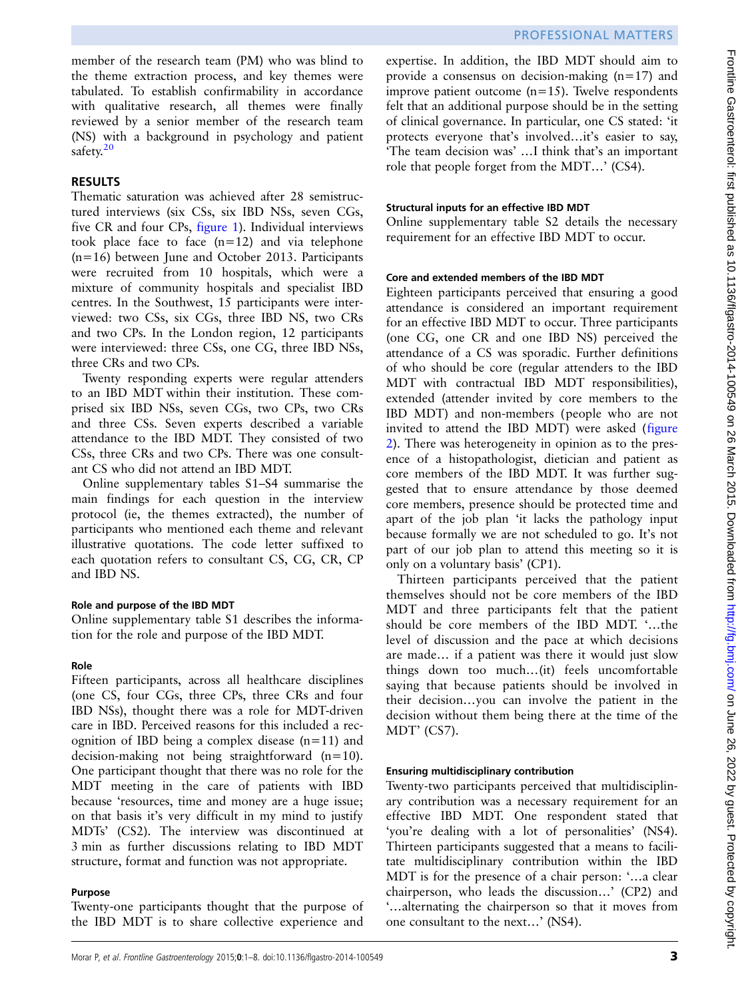member of the research team (PM) who was blind to the theme extraction process, and key themes were tabulated. To establish confirmability in accordance with qualitative research, all themes were finally reviewed by a senior member of the research team (NS) with a background in psychology and patient safety.<sup>[20](#page-7-0)</sup>

## RESULTS

Thematic saturation was achieved after 28 semistructured interviews (six CSs, six IBD NSs, seven CGs, five CR and four CPs, [figure 1\)](#page-3-0). Individual interviews took place face to face (n=12) and via telephone (n=16) between June and October 2013. Participants were recruited from 10 hospitals, which were a mixture of community hospitals and specialist IBD centres. In the Southwest, 15 participants were interviewed: two CSs, six CGs, three IBD NS, two CRs and two CPs. In the London region, 12 participants were interviewed: three CSs, one CG, three IBD NSs, three CRs and two CPs.

Twenty responding experts were regular attenders to an IBD MDT within their institution. These comprised six IBD NSs, seven CGs, two CPs, two CRs and three CSs. Seven experts described a variable attendance to the IBD MDT. They consisted of two CSs, three CRs and two CPs. There was one consultant CS who did not attend an IBD MDT.

Online supplementary tables S1–S4 summarise the main findings for each question in the interview protocol (ie, the themes extracted), the number of participants who mentioned each theme and relevant illustrative quotations. The code letter suffixed to each quotation refers to consultant CS, CG, CR, CP and IBD NS.

### Role and purpose of the IBD MDT

Online supplementary table S1 describes the information for the role and purpose of the IBD MDT.

## Role

Fifteen participants, across all healthcare disciplines (one CS, four CGs, three CPs, three CRs and four IBD NSs), thought there was a role for MDT-driven care in IBD. Perceived reasons for this included a recognition of IBD being a complex disease (n=11) and decision-making not being straightforward (n=10). One participant thought that there was no role for the MDT meeting in the care of patients with IBD because 'resources, time and money are a huge issue; on that basis it's very difficult in my mind to justify MDTs' (CS2). The interview was discontinued at 3 min as further discussions relating to IBD MDT structure, format and function was not appropriate.

### Purpose

Twenty-one participants thought that the purpose of the IBD MDT is to share collective experience and

expertise. In addition, the IBD MDT should aim to provide a consensus on decision-making (n=17) and improve patient outcome  $(n=15)$ . Twelve respondents felt that an additional purpose should be in the setting of clinical governance. In particular, one CS stated: 'it protects everyone that's involved…it's easier to say, 'The team decision was' …I think that's an important role that people forget from the MDT…' (CS4).

## Structural inputs for an effective IBD MDT

Online supplementary table S2 details the necessary requirement for an effective IBD MDT to occur.

## Core and extended members of the IBD MDT

Eighteen participants perceived that ensuring a good attendance is considered an important requirement for an effective IBD MDT to occur. Three participants (one CG, one CR and one IBD NS) perceived the attendance of a CS was sporadic. Further definitions of who should be core (regular attenders to the IBD MDT with contractual IBD MDT responsibilities), extended (attender invited by core members to the IBD MDT) and non-members (people who are not invited to attend the IBD MDT) were asked [\(figure](#page-3-0) [2](#page-3-0)). There was heterogeneity in opinion as to the presence of a histopathologist, dietician and patient as core members of the IBD MDT. It was further suggested that to ensure attendance by those deemed core members, presence should be protected time and apart of the job plan 'it lacks the pathology input because formally we are not scheduled to go. It's not part of our job plan to attend this meeting so it is only on a voluntary basis' (CP1).

Thirteen participants perceived that the patient themselves should not be core members of the IBD MDT and three participants felt that the patient should be core members of the IBD MDT. '…the level of discussion and the pace at which decisions are made… if a patient was there it would just slow things down too much…(it) feels uncomfortable saying that because patients should be involved in their decision…you can involve the patient in the decision without them being there at the time of the MDT' (CS7).

## Ensuring multidisciplinary contribution

Twenty-two participants perceived that multidisciplinary contribution was a necessary requirement for an effective IBD MDT. One respondent stated that 'you're dealing with a lot of personalities' (NS4). Thirteen participants suggested that a means to facilitate multidisciplinary contribution within the IBD MDT is for the presence of a chair person: '…a clear chairperson, who leads the discussion…' (CP2) and '…alternating the chairperson so that it moves from one consultant to the next…' (NS4).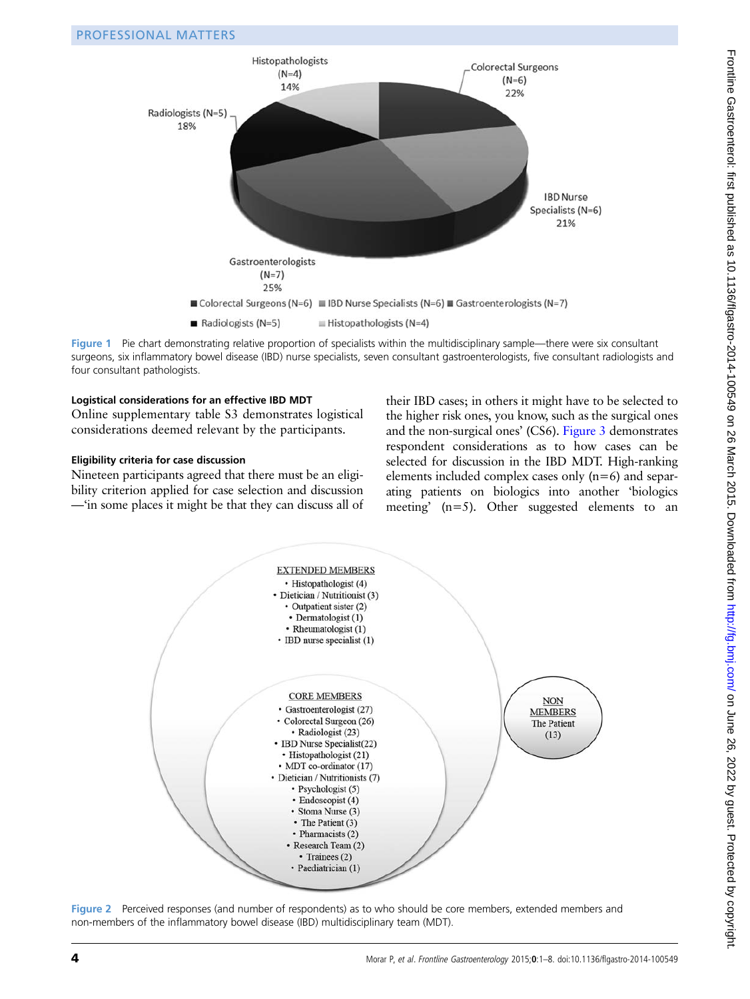<span id="page-3-0"></span>

Figure 1 Pie chart demonstrating relative proportion of specialists within the multidisciplinary sample—there were six consultant surgeons, six inflammatory bowel disease (IBD) nurse specialists, seven consultant gastroenterologists, five consultant radiologists and four consultant pathologists.

#### Logistical considerations for an effective IBD MDT

Online supplementary table S3 demonstrates logistical considerations deemed relevant by the participants.

### Eligibility criteria for case discussion

Nineteen participants agreed that there must be an eligibility criterion applied for case selection and discussion —'in some places it might be that they can discuss all of their IBD cases; in others it might have to be selected to the higher risk ones, you know, such as the surgical ones and the non-surgical ones' (CS6). [Figure 3](#page-4-0) demonstrates respondent considerations as to how cases can be selected for discussion in the IBD MDT. High-ranking elements included complex cases only (n=6) and separating patients on biologics into another 'biologics meeting' (n=5). Other suggested elements to an



Figure 2 Perceived responses (and number of respondents) as to who should be core members, extended members and non-members of the inflammatory bowel disease (IBD) multidisciplinary team (MDT).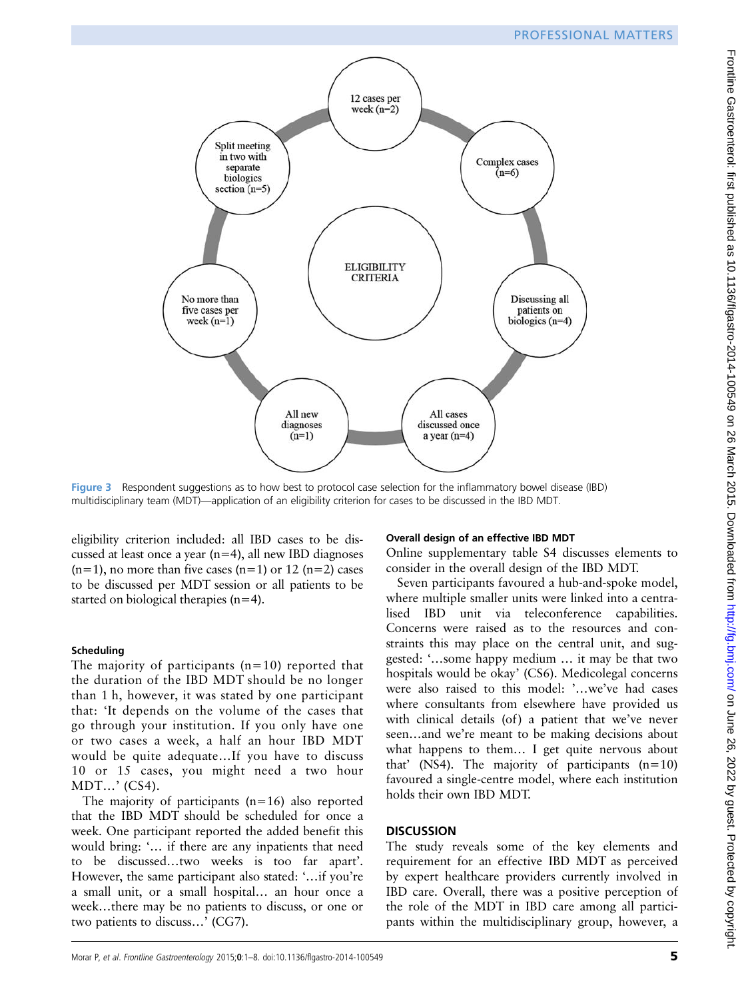<span id="page-4-0"></span>

Figure 3 Respondent suggestions as to how best to protocol case selection for the inflammatory bowel disease (IBD) multidisciplinary team (MDT)—application of an eligibility criterion for cases to be discussed in the IBD MDT.

eligibility criterion included: all IBD cases to be discussed at least once a year (n=4), all new IBD diagnoses  $(n=1)$ , no more than five cases  $(n=1)$  or 12  $(n=2)$  cases to be discussed per MDT session or all patients to be started on biological therapies (n=4).

### Scheduling

The majority of participants  $(n=10)$  reported that the duration of the IBD MDT should be no longer than 1 h, however, it was stated by one participant that: 'It depends on the volume of the cases that go through your institution. If you only have one or two cases a week, a half an hour IBD MDT would be quite adequate…If you have to discuss 10 or 15 cases, you might need a two hour MDT…' (CS4).

The majority of participants  $(n=16)$  also reported that the IBD MDT should be scheduled for once a week. One participant reported the added benefit this would bring: '… if there are any inpatients that need to be discussed…two weeks is too far apart'. However, the same participant also stated: '…if you're a small unit, or a small hospital… an hour once a week…there may be no patients to discuss, or one or two patients to discuss…' (CG7).

### Overall design of an effective IBD MDT

Online supplementary table S4 discusses elements to consider in the overall design of the IBD MDT.

Seven participants favoured a hub-and-spoke model, where multiple smaller units were linked into a centralised IBD unit via teleconference capabilities. Concerns were raised as to the resources and constraints this may place on the central unit, and suggested: '…some happy medium … it may be that two hospitals would be okay' (CS6). Medicolegal concerns were also raised to this model: '…we've had cases where consultants from elsewhere have provided us with clinical details (of) a patient that we've never seen…and we're meant to be making decisions about what happens to them… I get quite nervous about that' (NS4). The majority of participants  $(n=10)$ favoured a single-centre model, where each institution holds their own IBD MDT.

## **DISCUSSION**

The study reveals some of the key elements and requirement for an effective IBD MDT as perceived by expert healthcare providers currently involved in IBD care. Overall, there was a positive perception of the role of the MDT in IBD care among all participants within the multidisciplinary group, however, a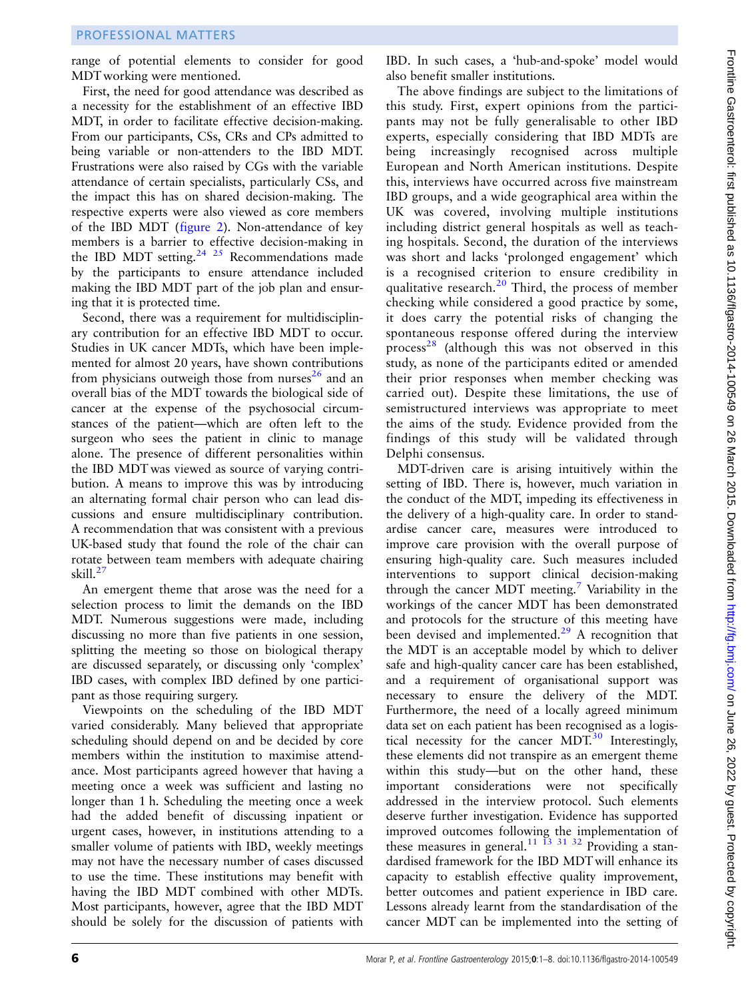### PROFESSIONAL MATTERS

range of potential elements to consider for good MDTworking were mentioned.

First, the need for good attendance was described as a necessity for the establishment of an effective IBD MDT, in order to facilitate effective decision-making. From our participants, CSs, CRs and CPs admitted to being variable or non-attenders to the IBD MDT. Frustrations were also raised by CGs with the variable attendance of certain specialists, particularly CSs, and the impact this has on shared decision-making. The respective experts were also viewed as core members of the IBD MDT [\(figure 2\)](#page-3-0). Non-attendance of key members is a barrier to effective decision-making in the IBD MDT setting. $24 \frac{25}{5}$  Recommendations made by the participants to ensure attendance included making the IBD MDT part of the job plan and ensuring that it is protected time.

Second, there was a requirement for multidisciplinary contribution for an effective IBD MDT to occur. Studies in UK cancer MDTs, which have been implemented for almost 20 years, have shown contributions from physicians outweigh those from nurses $^{26}$  $^{26}$  $^{26}$  and an overall bias of the MDT towards the biological side of cancer at the expense of the psychosocial circumstances of the patient—which are often left to the surgeon who sees the patient in clinic to manage alone. The presence of different personalities within the IBD MDT was viewed as source of varying contribution. A means to improve this was by introducing an alternating formal chair person who can lead discussions and ensure multidisciplinary contribution. A recommendation that was consistent with a previous UK-based study that found the role of the chair can rotate between team members with adequate chairing skill.[27](#page-7-0)

An emergent theme that arose was the need for a selection process to limit the demands on the IBD MDT. Numerous suggestions were made, including discussing no more than five patients in one session, splitting the meeting so those on biological therapy are discussed separately, or discussing only 'complex' IBD cases, with complex IBD defined by one participant as those requiring surgery.

Viewpoints on the scheduling of the IBD MDT varied considerably. Many believed that appropriate scheduling should depend on and be decided by core members within the institution to maximise attendance. Most participants agreed however that having a meeting once a week was sufficient and lasting no longer than 1 h. Scheduling the meeting once a week had the added benefit of discussing inpatient or urgent cases, however, in institutions attending to a smaller volume of patients with IBD, weekly meetings may not have the necessary number of cases discussed to use the time. These institutions may benefit with having the IBD MDT combined with other MDTs. Most participants, however, agree that the IBD MDT should be solely for the discussion of patients with

IBD. In such cases, a 'hub-and-spoke' model would also benefit smaller institutions.

The above findings are subject to the limitations of this study. First, expert opinions from the participants may not be fully generalisable to other IBD experts, especially considering that IBD MDTs are being increasingly recognised across multiple European and North American institutions. Despite this, interviews have occurred across five mainstream IBD groups, and a wide geographical area within the UK was covered, involving multiple institutions including district general hospitals as well as teaching hospitals. Second, the duration of the interviews was short and lacks 'prolonged engagement' which is a recognised criterion to ensure credibility in qualitative research. $^{20}$  $^{20}$  $^{20}$  Third, the process of member checking while considered a good practice by some, it does carry the potential risks of changing the spontaneous response offered during the interview process<sup>[28](#page-7-0)</sup> (although this was not observed in this study, as none of the participants edited or amended their prior responses when member checking was carried out). Despite these limitations, the use of semistructured interviews was appropriate to meet the aims of the study. Evidence provided from the findings of this study will be validated through Delphi consensus.

MDT-driven care is arising intuitively within the setting of IBD. There is, however, much variation in the conduct of the MDT, impeding its effectiveness in the delivery of a high-quality care. In order to standardise cancer care, measures were introduced to improve care provision with the overall purpose of ensuring high-quality care. Such measures included interventions to support clinical decision-making through the cancer MDT meeting.<sup>[7](#page-6-0)</sup> Variability in the workings of the cancer MDT has been demonstrated and protocols for the structure of this meeting have been devised and implemented. $29$  A recognition that the MDT is an acceptable model by which to deliver safe and high-quality cancer care has been established, and a requirement of organisational support was necessary to ensure the delivery of the MDT. Furthermore, the need of a locally agreed minimum data set on each patient has been recognised as a logistical necessity for the cancer MDT. $30$  Interestingly, these elements did not transpire as an emergent theme within this study—but on the other hand, these important considerations were not specifically addressed in the interview protocol. Such elements deserve further investigation. Evidence has supported improved outcomes following the implementation of these measures in general.<sup>[11 13](#page-6-0) [31 32](#page-7-0)</sup> Providing a standardised framework for the IBD MDT will enhance its capacity to establish effective quality improvement, better outcomes and patient experience in IBD care. Lessons already learnt from the standardisation of the cancer MDT can be implemented into the setting of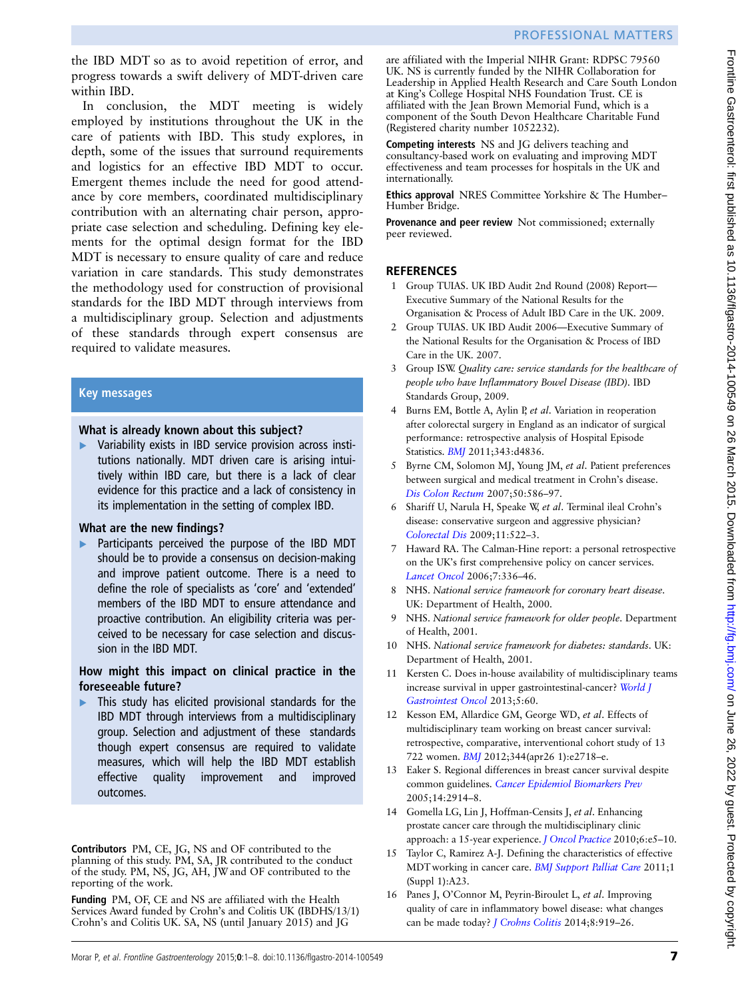<span id="page-6-0"></span>the IBD MDT so as to avoid repetition of error, and progress towards a swift delivery of MDT-driven care within IBD.

In conclusion, the MDT meeting is widely employed by institutions throughout the UK in the care of patients with IBD. This study explores, in depth, some of the issues that surround requirements and logistics for an effective IBD MDT to occur. Emergent themes include the need for good attendance by core members, coordinated multidisciplinary contribution with an alternating chair person, appropriate case selection and scheduling. Defining key elements for the optimal design format for the IBD MDT is necessary to ensure quality of care and reduce variation in care standards. This study demonstrates the methodology used for construction of provisional standards for the IBD MDT through interviews from a multidisciplinary group. Selection and adjustments of these standards through expert consensus are required to validate measures.

## Key messages

## What is already known about this subject?

▸ Variability exists in IBD service provision across institutions nationally. MDT driven care is arising intuitively within IBD care, but there is a lack of clear evidence for this practice and a lack of consistency in its implementation in the setting of complex IBD.

### What are the new findings?

Participants perceived the purpose of the IBD MDT should be to provide a consensus on decision-making and improve patient outcome. There is a need to define the role of specialists as 'core' and 'extended' members of the IBD MDT to ensure attendance and proactive contribution. An eligibility criteria was perceived to be necessary for case selection and discussion in the IBD MDT.

## How might this impact on clinical practice in the foreseeable future?

▸ This study has elicited provisional standards for the IBD MDT through interviews from a multidisciplinary group. Selection and adjustment of these standards though expert consensus are required to validate measures, which will help the IBD MDT establish effective quality improvement and improved outcomes.

Contributors PM, CE, JG, NS and OF contributed to the planning of this study. PM, SA, JR contributed to the conduct of the study. PM, NS, JG, AH, JW and OF contributed to the reporting of the work.

Funding PM, OF, CE and NS are affiliated with the Health Services Award funded by Crohn's and Colitis UK (IBDHS/13/1) Crohn's and Colitis UK. SA, NS (until January 2015) and JG

are affiliated with the Imperial NIHR Grant: RDPSC 79560 UK. NS is currently funded by the NIHR Collaboration for Leadership in Applied Health Research and Care South London at King's College Hospital NHS Foundation Trust. CE is affiliated with the Jean Brown Memorial Fund, which is a component of the South Devon Healthcare Charitable Fund (Registered charity number 1052232).

Competing interests NS and JG delivers teaching and consultancy-based work on evaluating and improving MDT effectiveness and team processes for hospitals in the UK and internationally.

Ethics approval NRES Committee Yorkshire & The Humber– Humber Bridge.

Provenance and peer review Not commissioned; externally peer reviewed.

# **REFERENCES**

- 1 Group TUIAS. UK IBD Audit 2nd Round (2008) Report— Executive Summary of the National Results for the Organisation & Process of Adult IBD Care in the UK. 2009.
- 2 Group TUIAS. UK IBD Audit 2006—Executive Summary of the National Results for the Organisation & Process of IBD Care in the UK. 2007.
- 3 Group ISW. Quality care: service standards for the healthcare of people who have Inflammatory Bowel Disease (IBD). IBD Standards Group, 2009.
- 4 Burns EM, Bottle A, Aylin P, et al. Variation in reoperation after colorectal surgery in England as an indicator of surgical performance: retrospective analysis of Hospital Episode Statistics. [BMJ](http://dx.doi.org/10.1136/bmj.d4836) 2011;343:d4836.
- 5 Byrne CM, Solomon MJ, Young JM, et al. Patient preferences between surgical and medical treatment in Crohn's disease. [Dis Colon Rectum](http://dx.doi.org/10.1007/s10350-006-0847-0) 2007;50:586–97.
- 6 Shariff U, Narula H, Speake W, et al. Terminal ileal Crohn's disease: conservative surgeon and aggressive physician? [Colorectal Dis](http://dx.doi.org/10.1111/j.1463-1318.2009.01820.x) 2009;11:522–3.
- 7 Haward RA. The Calman-Hine report: a personal retrospective on the UK's first comprehensive policy on cancer services. [Lancet Oncol](http://dx.doi.org/10.1016/S1470-2045(06)70659-3) 2006;7:336–46.
- 8 NHS. National service framework for coronary heart disease. UK: Department of Health, 2000.
- 9 NHS. National service framework for older people. Department of Health, 2001.
- 10 NHS. National service framework for diabetes: standards. UK: Department of Health, 2001.
- 11 Kersten C. Does in-house availability of multidisciplinary teams increase survival in upper gastrointestinal-cancer? [World J](http://dx.doi.org/10.4251/wjgo.v5.i3.60) [Gastrointest Oncol](http://dx.doi.org/10.4251/wjgo.v5.i3.60) 2013;5:60.
- 12 Kesson EM, Allardice GM, George WD, et al. Effects of multidisciplinary team working on breast cancer survival: retrospective, comparative, interventional cohort study of 13 722 women. [BMJ](http://dx.doi.org/10.1136/bmj.e2718) 2012;344(apr26 1):e2718–e.
- 13 Eaker S. Regional differences in breast cancer survival despite common guidelines. [Cancer Epidemiol Biomarkers Prev](http://dx.doi.org/10.1158/1055-9965.EPI-05-0317) 2005;14:2914–8.
- 14 Gomella LG, Lin J, Hoffman-Censits J, et al. Enhancing prostate cancer care through the multidisciplinary clinic approach: a 15-year experience. *[J Oncol Practice](http://dx.doi.org/10.1200/JOP.2010.000071)* 2010;6:e5-10.
- 15 Taylor C, Ramirez A-J. Defining the characteristics of effective MDTworking in cancer care. [BMJ Support Palliat Care](http://dx.doi.org/10.1136/bmjspcare-2011-000105.61) 2011;1 (Suppl 1):A23.
- 16 Panes J, O'Connor M, Peyrin-Biroulet L, et al. Improving quality of care in inflammatory bowel disease: what changes can be made today? [J Crohns Colitis](http://dx.doi.org/10.1016/j.crohns.2014.02.022) 2014;8:919-26.